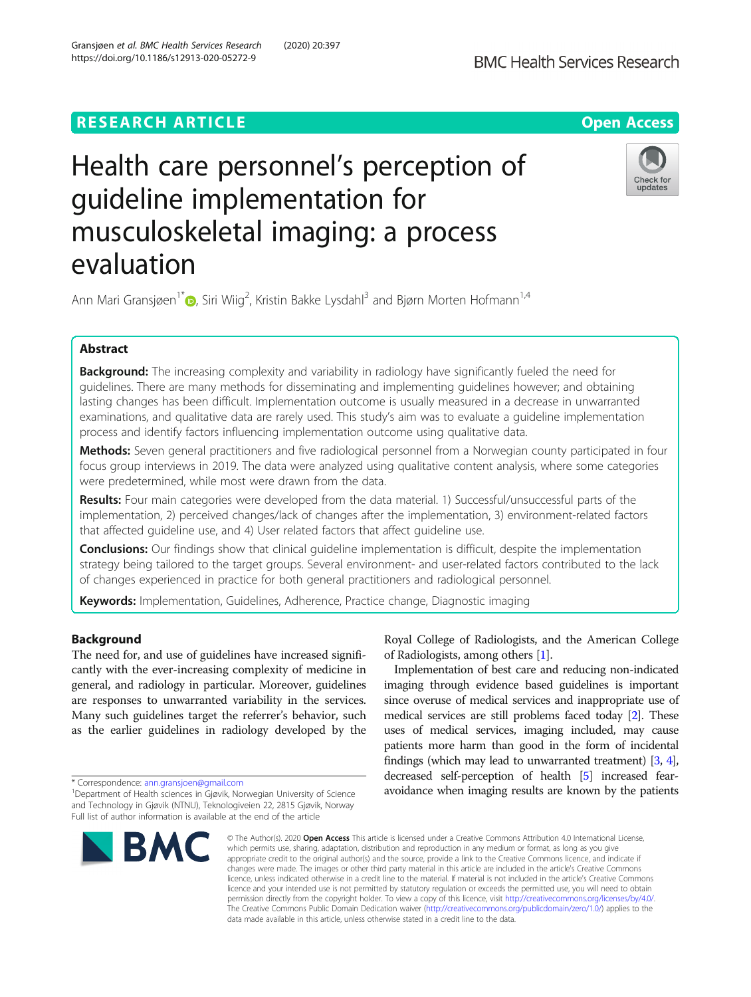# Health care personnel's perception of guideline implementation for musculoskeletal imaging: a process evaluation

Ann Mari Gransjøen $^{1*}$ D[,](http://orcid.org/0000-0001-7930-1022) Siri Wiig<sup>2</sup>, Kristin Bakke Lysdahl $^3$  and Bjørn Morten Hofmann $^{1,4}$ 

## Abstract

Background: The increasing complexity and variability in radiology have significantly fueled the need for guidelines. There are many methods for disseminating and implementing guidelines however; and obtaining lasting changes has been difficult. Implementation outcome is usually measured in a decrease in unwarranted examinations, and qualitative data are rarely used. This study's aim was to evaluate a guideline implementation process and identify factors influencing implementation outcome using qualitative data.

Methods: Seven general practitioners and five radiological personnel from a Norwegian county participated in four focus group interviews in 2019. The data were analyzed using qualitative content analysis, where some categories were predetermined, while most were drawn from the data.

Results: Four main categories were developed from the data material. 1) Successful/unsuccessful parts of the implementation, 2) perceived changes/lack of changes after the implementation, 3) environment-related factors that affected guideline use, and 4) User related factors that affect guideline use.

**Conclusions:** Our findings show that clinical guideline implementation is difficult, despite the implementation strategy being tailored to the target groups. Several environment- and user-related factors contributed to the lack of changes experienced in practice for both general practitioners and radiological personnel.

Keywords: Implementation, Guidelines, Adherence, Practice change, Diagnostic imaging

## Background

The need for, and use of guidelines have increased significantly with the ever-increasing complexity of medicine in general, and radiology in particular. Moreover, guidelines are responses to unwarranted variability in the services. Many such guidelines target the referrer's behavior, such as the earlier guidelines in radiology developed by the

\* Correspondence: [ann.gransjoen@gmail.com](mailto:ann.gransjoen@gmail.com) <sup>1</sup>

# Gransjøen et al. BMC Health Services Research (2020) 20:397

**BMC** 

Royal College of Radiologists, and the American College of Radiologists, among others [\[1](#page-9-0)].

Implementation of best care and reducing non-indicated imaging through evidence based guidelines is important since overuse of medical services and inappropriate use of medical services are still problems faced today [\[2\]](#page-9-0). These uses of medical services, imaging included, may cause patients more harm than good in the form of incidental findings (which may lead to unwarranted treatment) [[3,](#page-9-0) [4](#page-9-0)], decreased self-perception of health [[5](#page-9-0)] increased fearavoidance when imaging results are known by the patients

© The Author(s), 2020 **Open Access** This article is licensed under a Creative Commons Attribution 4.0 International License, which permits use, sharing, adaptation, distribution and reproduction in any medium or format, as long as you give appropriate credit to the original author(s) and the source, provide a link to the Creative Commons licence, and indicate if changes were made. The images or other third party material in this article are included in the article's Creative Commons licence, unless indicated otherwise in a credit line to the material. If material is not included in the article's Creative Commons licence and your intended use is not permitted by statutory regulation or exceeds the permitted use, you will need to obtain permission directly from the copyright holder. To view a copy of this licence, visit [http://creativecommons.org/licenses/by/4.0/.](http://creativecommons.org/licenses/by/4.0/) The Creative Commons Public Domain Dedication waiver [\(http://creativecommons.org/publicdomain/zero/1.0/](http://creativecommons.org/publicdomain/zero/1.0/)) applies to the data made available in this article, unless otherwise stated in a credit line to the data.





<sup>&</sup>lt;sup>1</sup> Department of Health sciences in Gjøvik, Norwegian University of Science and Technology in Gjøvik (NTNU), Teknologiveien 22, 2815 Gjøvik, Norway Full list of author information is available at the end of the article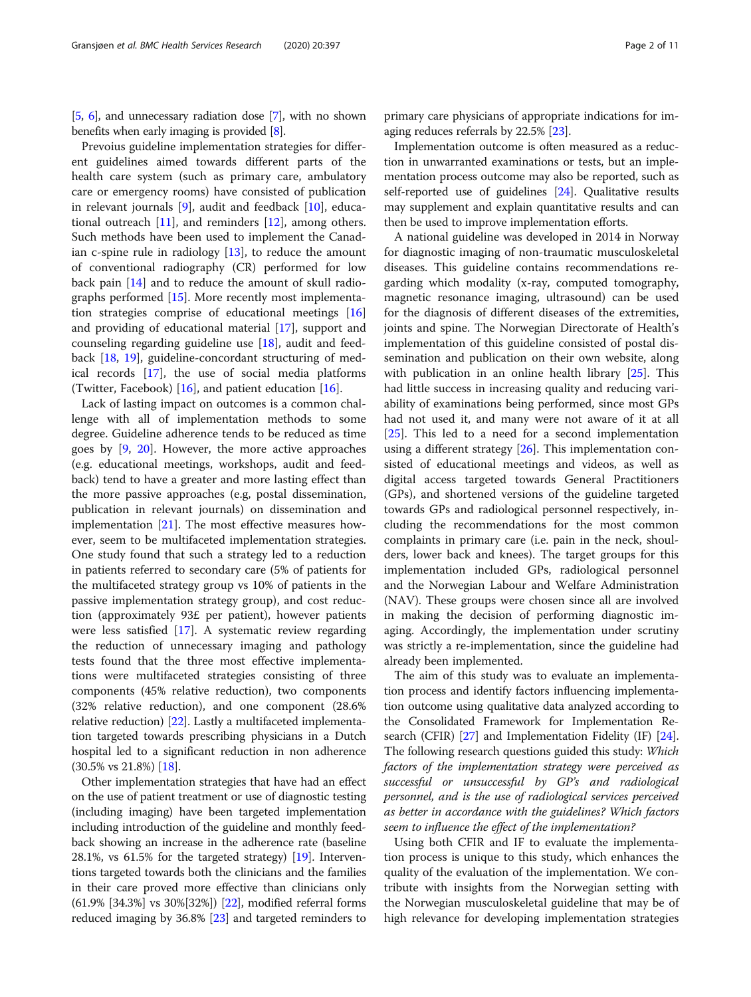[[5](#page-9-0), [6\]](#page-9-0), and unnecessary radiation dose [\[7](#page-9-0)], with no shown benefits when early imaging is provided [\[8\]](#page-9-0).

Prevoius guideline implementation strategies for different guidelines aimed towards different parts of the health care system (such as primary care, ambulatory care or emergency rooms) have consisted of publication in relevant journals [\[9](#page-10-0)], audit and feedback [\[10](#page-10-0)], educational outreach [\[11](#page-10-0)], and reminders [\[12](#page-10-0)], among others. Such methods have been used to implement the Canadian c-spine rule in radiology [\[13\]](#page-10-0), to reduce the amount of conventional radiography (CR) performed for low back pain [\[14\]](#page-10-0) and to reduce the amount of skull radiographs performed [[15\]](#page-10-0). More recently most implementation strategies comprise of educational meetings [[16](#page-10-0)] and providing of educational material [\[17](#page-10-0)], support and counseling regarding guideline use [[18\]](#page-10-0), audit and feedback [[18](#page-10-0), [19](#page-10-0)], guideline-concordant structuring of medical records [[17](#page-10-0)], the use of social media platforms (Twitter, Facebook) [\[16\]](#page-10-0), and patient education [[16](#page-10-0)].

Lack of lasting impact on outcomes is a common challenge with all of implementation methods to some degree. Guideline adherence tends to be reduced as time goes by [\[9,](#page-10-0) [20\]](#page-10-0). However, the more active approaches (e.g. educational meetings, workshops, audit and feedback) tend to have a greater and more lasting effect than the more passive approaches (e.g, postal dissemination, publication in relevant journals) on dissemination and implementation [\[21](#page-10-0)]. The most effective measures however, seem to be multifaceted implementation strategies. One study found that such a strategy led to a reduction in patients referred to secondary care (5% of patients for the multifaceted strategy group vs 10% of patients in the passive implementation strategy group), and cost reduction (approximately 93£ per patient), however patients were less satisfied [\[17](#page-10-0)]. A systematic review regarding the reduction of unnecessary imaging and pathology tests found that the three most effective implementations were multifaceted strategies consisting of three components (45% relative reduction), two components (32% relative reduction), and one component (28.6% relative reduction) [\[22\]](#page-10-0). Lastly a multifaceted implementation targeted towards prescribing physicians in a Dutch hospital led to a significant reduction in non adherence (30.5% vs 21.8%) [[18](#page-10-0)].

Other implementation strategies that have had an effect on the use of patient treatment or use of diagnostic testing (including imaging) have been targeted implementation including introduction of the guideline and monthly feedback showing an increase in the adherence rate (baseline 28.1%, vs 61.5% for the targeted strategy) [[19](#page-10-0)]. Interventions targeted towards both the clinicians and the families in their care proved more effective than clinicians only (61.9% [34.3%] vs 30%[32%]) [[22](#page-10-0)], modified referral forms reduced imaging by 36.8% [\[23\]](#page-10-0) and targeted reminders to

primary care physicians of appropriate indications for imaging reduces referrals by 22.5% [\[23\]](#page-10-0).

Implementation outcome is often measured as a reduction in unwarranted examinations or tests, but an implementation process outcome may also be reported, such as self-reported use of guidelines [[24](#page-10-0)]. Qualitative results may supplement and explain quantitative results and can then be used to improve implementation efforts.

A national guideline was developed in 2014 in Norway for diagnostic imaging of non-traumatic musculoskeletal diseases. This guideline contains recommendations regarding which modality (x-ray, computed tomography, magnetic resonance imaging, ultrasound) can be used for the diagnosis of different diseases of the extremities, joints and spine. The Norwegian Directorate of Health's implementation of this guideline consisted of postal dissemination and publication on their own website, along with publication in an online health library [\[25](#page-10-0)]. This had little success in increasing quality and reducing variability of examinations being performed, since most GPs had not used it, and many were not aware of it at all [[25\]](#page-10-0). This led to a need for a second implementation using a different strategy [[26\]](#page-10-0). This implementation consisted of educational meetings and videos, as well as digital access targeted towards General Practitioners (GPs), and shortened versions of the guideline targeted towards GPs and radiological personnel respectively, including the recommendations for the most common complaints in primary care (i.e. pain in the neck, shoulders, lower back and knees). The target groups for this implementation included GPs, radiological personnel and the Norwegian Labour and Welfare Administration (NAV). These groups were chosen since all are involved in making the decision of performing diagnostic imaging. Accordingly, the implementation under scrutiny was strictly a re-implementation, since the guideline had already been implemented.

The aim of this study was to evaluate an implementation process and identify factors influencing implementation outcome using qualitative data analyzed according to the Consolidated Framework for Implementation Research (CFIR) [\[27\]](#page-10-0) and Implementation Fidelity (IF) [[24](#page-10-0)]. The following research questions guided this study: Which factors of the implementation strategy were perceived as successful or unsuccessful by GP's and radiological personnel, and is the use of radiological services perceived as better in accordance with the guidelines? Which factors seem to influence the effect of the implementation?

Using both CFIR and IF to evaluate the implementation process is unique to this study, which enhances the quality of the evaluation of the implementation. We contribute with insights from the Norwegian setting with the Norwegian musculoskeletal guideline that may be of high relevance for developing implementation strategies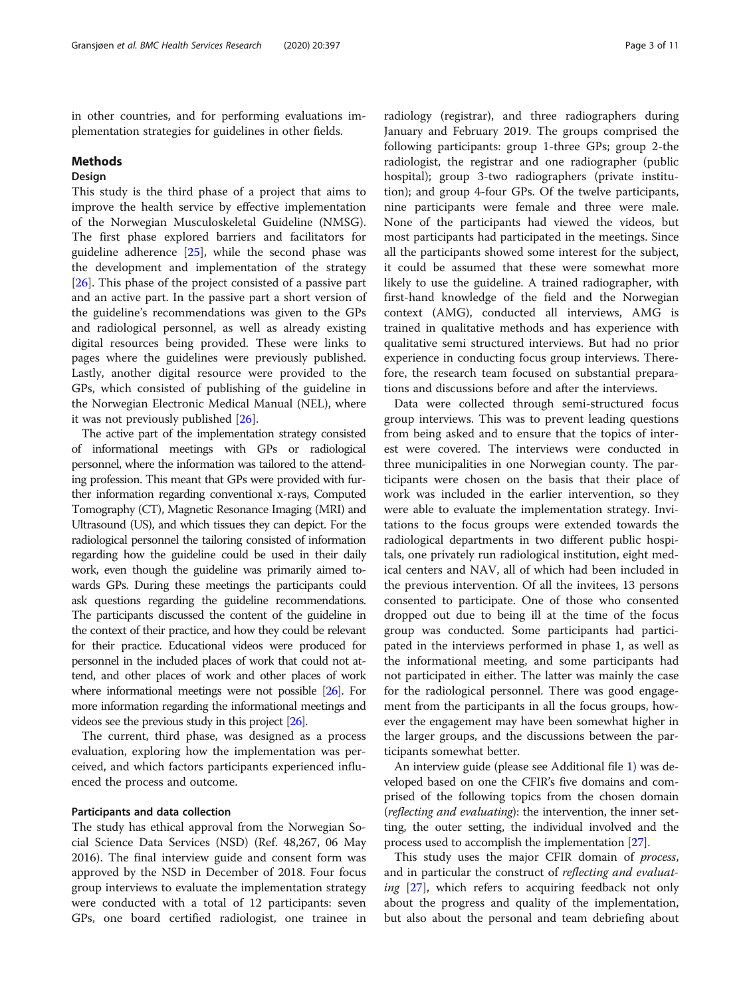in other countries, and for performing evaluations implementation strategies for guidelines in other fields.

#### Methods

## **Design**

This study is the third phase of a project that aims to improve the health service by effective implementation of the Norwegian Musculoskeletal Guideline (NMSG). The first phase explored barriers and facilitators for guideline adherence [[25\]](#page-10-0), while the second phase was the development and implementation of the strategy [[26\]](#page-10-0). This phase of the project consisted of a passive part and an active part. In the passive part a short version of the guideline's recommendations was given to the GPs and radiological personnel, as well as already existing digital resources being provided. These were links to pages where the guidelines were previously published. Lastly, another digital resource were provided to the GPs, which consisted of publishing of the guideline in the Norwegian Electronic Medical Manual (NEL), where it was not previously published [\[26\]](#page-10-0).

The active part of the implementation strategy consisted of informational meetings with GPs or radiological personnel, where the information was tailored to the attending profession. This meant that GPs were provided with further information regarding conventional x-rays, Computed Tomography (CT), Magnetic Resonance Imaging (MRI) and Ultrasound (US), and which tissues they can depict. For the radiological personnel the tailoring consisted of information regarding how the guideline could be used in their daily work, even though the guideline was primarily aimed towards GPs. During these meetings the participants could ask questions regarding the guideline recommendations. The participants discussed the content of the guideline in the context of their practice, and how they could be relevant for their practice. Educational videos were produced for personnel in the included places of work that could not attend, and other places of work and other places of work where informational meetings were not possible [[26\]](#page-10-0). For more information regarding the informational meetings and videos see the previous study in this project [\[26](#page-10-0)].

The current, third phase, was designed as a process evaluation, exploring how the implementation was perceived, and which factors participants experienced influenced the process and outcome.

#### Participants and data collection

The study has ethical approval from the Norwegian Social Science Data Services (NSD) (Ref. 48,267, 06 May 2016). The final interview guide and consent form was approved by the NSD in December of 2018. Four focus group interviews to evaluate the implementation strategy were conducted with a total of 12 participants: seven GPs, one board certified radiologist, one trainee in

radiology (registrar), and three radiographers during January and February 2019. The groups comprised the following participants: group 1-three GPs; group 2-the radiologist, the registrar and one radiographer (public hospital); group 3-two radiographers (private institution); and group 4-four GPs. Of the twelve participants, nine participants were female and three were male. None of the participants had viewed the videos, but most participants had participated in the meetings. Since all the participants showed some interest for the subject, it could be assumed that these were somewhat more likely to use the guideline. A trained radiographer, with first-hand knowledge of the field and the Norwegian context (AMG), conducted all interviews, AMG is trained in qualitative methods and has experience with qualitative semi structured interviews. But had no prior experience in conducting focus group interviews. Therefore, the research team focused on substantial preparations and discussions before and after the interviews.

Data were collected through semi-structured focus group interviews. This was to prevent leading questions from being asked and to ensure that the topics of interest were covered. The interviews were conducted in three municipalities in one Norwegian county. The participants were chosen on the basis that their place of work was included in the earlier intervention, so they were able to evaluate the implementation strategy. Invitations to the focus groups were extended towards the radiological departments in two different public hospitals, one privately run radiological institution, eight medical centers and NAV, all of which had been included in the previous intervention. Of all the invitees, 13 persons consented to participate. One of those who consented dropped out due to being ill at the time of the focus group was conducted. Some participants had participated in the interviews performed in phase 1, as well as the informational meeting, and some participants had not participated in either. The latter was mainly the case for the radiological personnel. There was good engagement from the participants in all the focus groups, however the engagement may have been somewhat higher in the larger groups, and the discussions between the participants somewhat better.

An interview guide (please see Additional file [1](#page-9-0)) was developed based on one the CFIR's five domains and comprised of the following topics from the chosen domain (reflecting and evaluating): the intervention, the inner setting, the outer setting, the individual involved and the process used to accomplish the implementation [\[27\]](#page-10-0).

This study uses the major CFIR domain of process, and in particular the construct of *reflecting and evaluat*-ing [\[27](#page-10-0)], which refers to acquiring feedback not only about the progress and quality of the implementation, but also about the personal and team debriefing about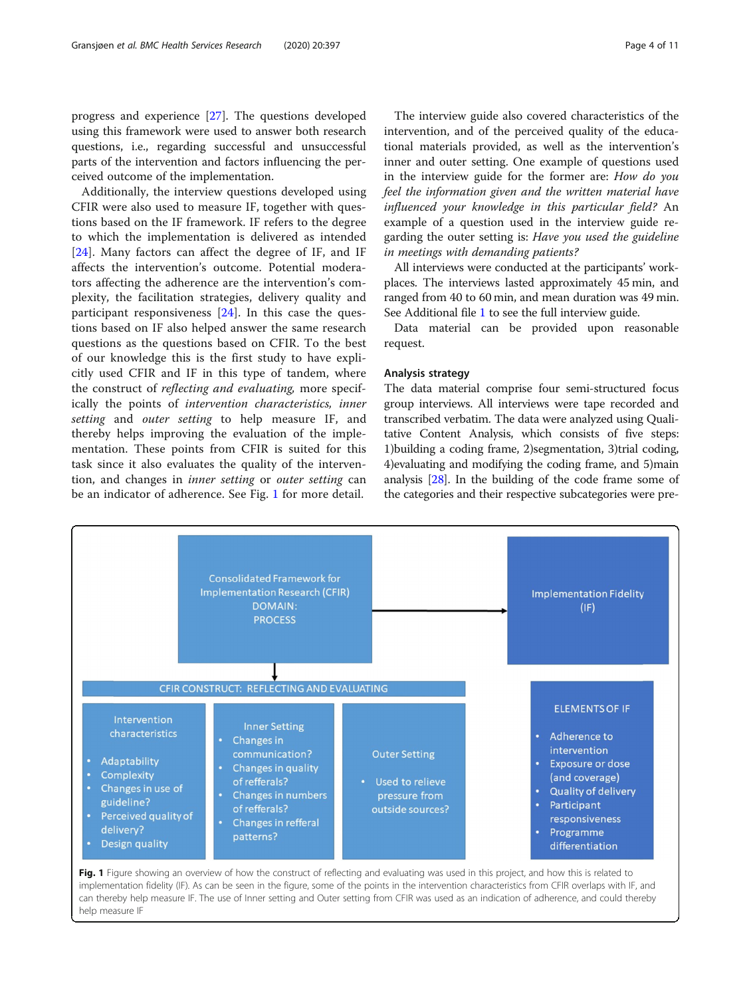progress and experience [\[27\]](#page-10-0). The questions developed using this framework were used to answer both research questions, i.e., regarding successful and unsuccessful parts of the intervention and factors influencing the perceived outcome of the implementation.

Additionally, the interview questions developed using CFIR were also used to measure IF, together with questions based on the IF framework. IF refers to the degree to which the implementation is delivered as intended [[24\]](#page-10-0). Many factors can affect the degree of IF, and IF affects the intervention's outcome. Potential moderators affecting the adherence are the intervention's complexity, the facilitation strategies, delivery quality and participant responsiveness [[24\]](#page-10-0). In this case the questions based on IF also helped answer the same research questions as the questions based on CFIR. To the best of our knowledge this is the first study to have explicitly used CFIR and IF in this type of tandem, where the construct of reflecting and evaluating, more specifically the points of intervention characteristics, inner setting and outer setting to help measure IF, and thereby helps improving the evaluation of the implementation. These points from CFIR is suited for this task since it also evaluates the quality of the intervention, and changes in inner setting or outer setting can be an indicator of adherence. See Fig. 1 for more detail.

The interview guide also covered characteristics of the intervention, and of the perceived quality of the educational materials provided, as well as the intervention's inner and outer setting. One example of questions used in the interview guide for the former are: How do you feel the information given and the written material have influenced your knowledge in this particular field? An example of a question used in the interview guide regarding the outer setting is: Have you used the guideline in meetings with demanding patients?

All interviews were conducted at the participants' workplaces. The interviews lasted approximately 45 min, and ranged from 40 to 60 min, and mean duration was 49 min. See Additional file [1](#page-9-0) to see the full interview guide.

Data material can be provided upon reasonable request.

#### Analysis strategy

The data material comprise four semi-structured focus group interviews. All interviews were tape recorded and transcribed verbatim. The data were analyzed using Qualitative Content Analysis, which consists of five steps: 1)building a coding frame, 2)segmentation, 3)trial coding, 4)evaluating and modifying the coding frame, and 5)main analysis [\[28](#page-10-0)]. In the building of the code frame some of the categories and their respective subcategories were pre-



Fig. 1 Figure showing an overview of how the construct of reflecting and evaluating was used in this project, and how this is related to implementation fidelity (IF). As can be seen in the figure, some of the points in the intervention characteristics from CFIR overlaps with IF, and can thereby help measure IF. The use of Inner setting and Outer setting from CFIR was used as an indication of adherence, and could thereby help measure IF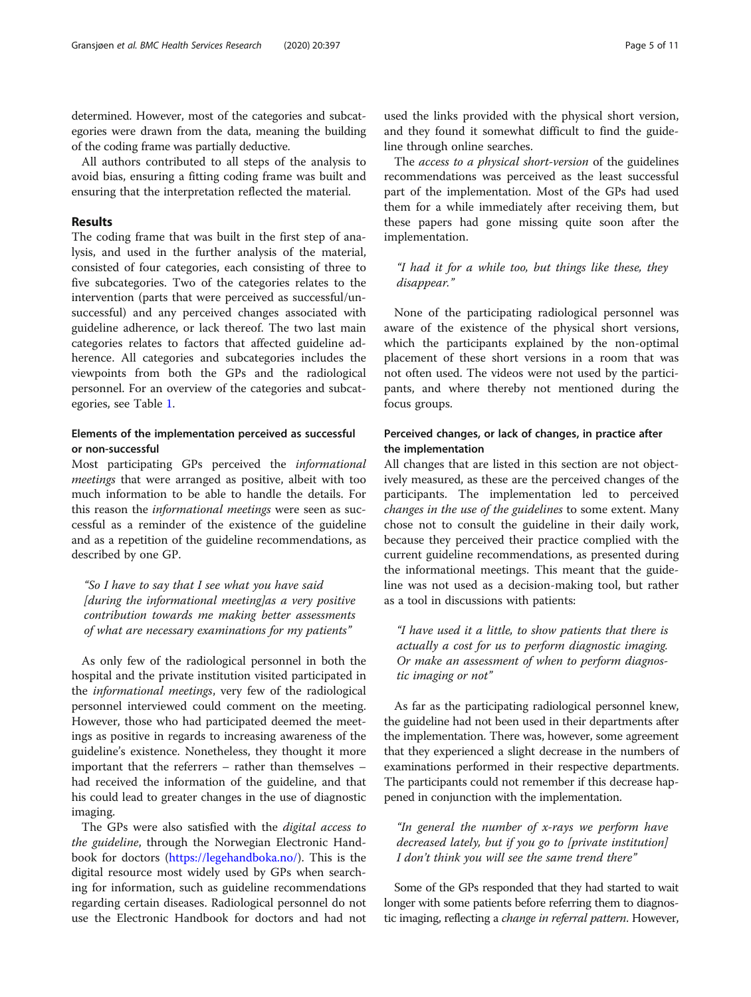determined. However, most of the categories and subcategories were drawn from the data, meaning the building of the coding frame was partially deductive.

All authors contributed to all steps of the analysis to avoid bias, ensuring a fitting coding frame was built and ensuring that the interpretation reflected the material.

#### Results

The coding frame that was built in the first step of analysis, and used in the further analysis of the material, consisted of four categories, each consisting of three to five subcategories. Two of the categories relates to the intervention (parts that were perceived as successful/unsuccessful) and any perceived changes associated with guideline adherence, or lack thereof. The two last main categories relates to factors that affected guideline adherence. All categories and subcategories includes the viewpoints from both the GPs and the radiological personnel. For an overview of the categories and subcategories, see Table [1.](#page-5-0)

## Elements of the implementation perceived as successful or non-successful

Most participating GPs perceived the informational meetings that were arranged as positive, albeit with too much information to be able to handle the details. For this reason the informational meetings were seen as successful as a reminder of the existence of the guideline and as a repetition of the guideline recommendations, as described by one GP.

"So I have to say that I see what you have said [during the informational meeting]as a very positive contribution towards me making better assessments of what are necessary examinations for my patients"

As only few of the radiological personnel in both the hospital and the private institution visited participated in the informational meetings, very few of the radiological personnel interviewed could comment on the meeting. However, those who had participated deemed the meetings as positive in regards to increasing awareness of the guideline's existence. Nonetheless, they thought it more important that the referrers – rather than themselves – had received the information of the guideline, and that his could lead to greater changes in the use of diagnostic imaging.

The GPs were also satisfied with the *digital access to* the guideline, through the Norwegian Electronic Handbook for doctors (<https://legehandboka.no/>). This is the digital resource most widely used by GPs when searching for information, such as guideline recommendations regarding certain diseases. Radiological personnel do not use the Electronic Handbook for doctors and had not

used the links provided with the physical short version, and they found it somewhat difficult to find the guideline through online searches.

The *access to a physical short-version* of the guidelines recommendations was perceived as the least successful part of the implementation. Most of the GPs had used them for a while immediately after receiving them, but these papers had gone missing quite soon after the implementation.

## "I had it for a while too, but things like these, they disappear."

None of the participating radiological personnel was aware of the existence of the physical short versions, which the participants explained by the non-optimal placement of these short versions in a room that was not often used. The videos were not used by the participants, and where thereby not mentioned during the focus groups.

## Perceived changes, or lack of changes, in practice after the implementation

All changes that are listed in this section are not objectively measured, as these are the perceived changes of the participants. The implementation led to perceived changes in the use of the guidelines to some extent. Many chose not to consult the guideline in their daily work, because they perceived their practice complied with the current guideline recommendations, as presented during the informational meetings. This meant that the guideline was not used as a decision-making tool, but rather as a tool in discussions with patients:

"I have used it a little, to show patients that there is actually a cost for us to perform diagnostic imaging. Or make an assessment of when to perform diagnostic imaging or not"

As far as the participating radiological personnel knew, the guideline had not been used in their departments after the implementation. There was, however, some agreement that they experienced a slight decrease in the numbers of examinations performed in their respective departments. The participants could not remember if this decrease happened in conjunction with the implementation.

"In general the number of x-rays we perform have decreased lately, but if you go to [private institution] I don't think you will see the same trend there"

Some of the GPs responded that they had started to wait longer with some patients before referring them to diagnostic imaging, reflecting a change in referral pattern. However,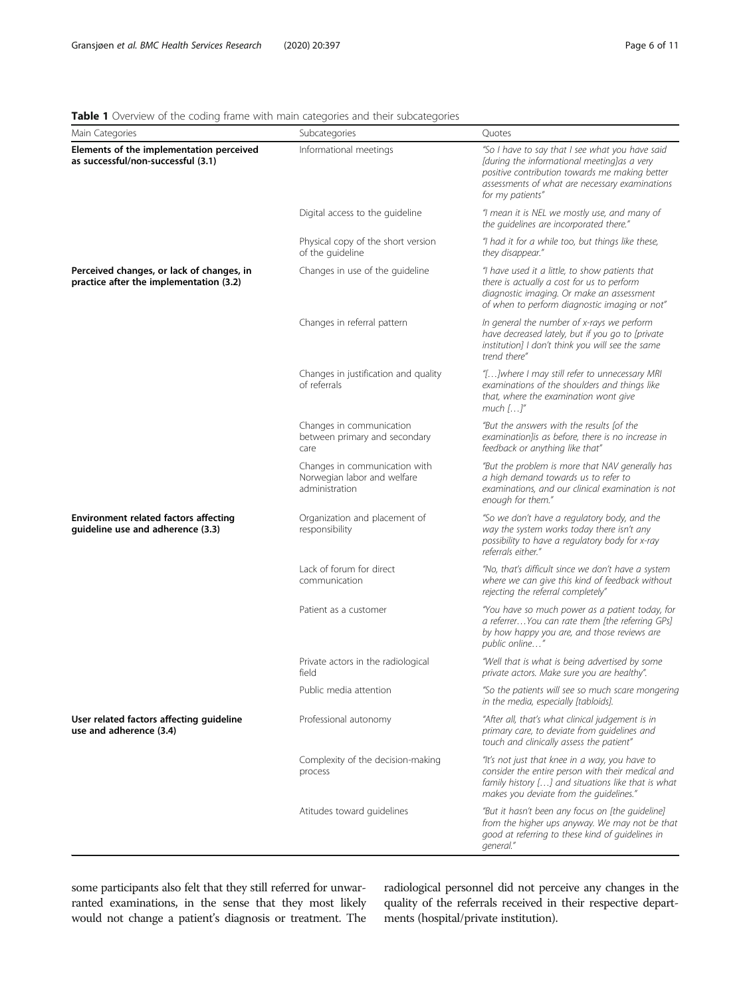## <span id="page-5-0"></span>**Table 1** Overview of the coding frame with main categories and their subcategories

| Main Categories                                                                      | Subcategories                                                                  | Quotes                                                                                                                                                                                                                 |
|--------------------------------------------------------------------------------------|--------------------------------------------------------------------------------|------------------------------------------------------------------------------------------------------------------------------------------------------------------------------------------------------------------------|
| Elements of the implementation perceived<br>as successful/non-successful (3.1)       | Informational meetings                                                         | "So I have to say that I see what you have said<br>[during the informational meeting]as a very<br>positive contribution towards me making better<br>assessments of what are necessary examinations<br>for my patients" |
|                                                                                      | Digital access to the guideline                                                | "I mean it is NEL we mostly use, and many of<br>the quidelines are incorporated there."                                                                                                                                |
|                                                                                      | Physical copy of the short version<br>of the guideline                         | "I had it for a while too, but things like these,<br>they disappear."                                                                                                                                                  |
| Perceived changes, or lack of changes, in<br>practice after the implementation (3.2) | Changes in use of the guideline                                                | "I have used it a little, to show patients that<br>there is actually a cost for us to perform<br>diagnostic imaging. Or make an assessment<br>of when to perform diagnostic imaging or not"                            |
|                                                                                      | Changes in referral pattern                                                    | In general the number of x-rays we perform<br>have decreased lately, but if you go to [private<br>institution] I don't think you will see the same<br>trend there"                                                     |
|                                                                                      | Changes in justification and quality<br>of referrals                           | "[] where I may still refer to unnecessary MRI<br>examinations of the shoulders and things like<br>that, where the examination wont give<br>$much$ []"                                                                 |
|                                                                                      | Changes in communication<br>between primary and secondary<br>care              | "But the answers with the results [of the<br>examination]is as before, there is no increase in<br>feedback or anything like that"                                                                                      |
|                                                                                      | Changes in communication with<br>Norwegian labor and welfare<br>administration | "But the problem is more that NAV generally has<br>a high demand towards us to refer to<br>examinations, and our clinical examination is not<br>enough for them."                                                      |
| <b>Environment related factors affecting</b><br>guideline use and adherence (3.3)    | Organization and placement of<br>responsibility                                | "So we don't have a regulatory body, and the<br>way the system works today there isn't any<br>possibility to have a regulatory body for x-ray<br>referrals either."                                                    |
|                                                                                      | Lack of forum for direct<br>communication                                      | "No, that's difficult since we don't have a system<br>where we can give this kind of feedback without<br>rejecting the referral completely"                                                                            |
|                                                                                      | Patient as a customer                                                          | "You have so much power as a patient today, for<br>a referrer You can rate them [the referring GPs]<br>by how happy you are, and those reviews are<br>public online"                                                   |
|                                                                                      | Private actors in the radiological<br>field                                    | "Well that is what is being advertised by some<br>private actors. Make sure you are healthy".                                                                                                                          |
|                                                                                      | Public media attention                                                         | "So the patients will see so much scare mongering<br>in the media, especially [tabloids].                                                                                                                              |
| User related factors affecting guideline<br>use and adherence (3.4)                  | Professional autonomy                                                          | "After all, that's what clinical judgement is in<br>primary care, to deviate from guidelines and<br>touch and clinically assess the patient"                                                                           |
|                                                                                      | Complexity of the decision-making<br>process                                   | "It's not just that knee in a way, you have to<br>consider the entire person with their medical and<br>family history [] and situations like that is what<br>makes you deviate from the quidelines."                   |
|                                                                                      | Atitudes toward guidelines                                                     | "But it hasn't been any focus on [the guideline]<br>from the higher ups anyway. We may not be that<br>good at referring to these kind of quidelines in<br>general."                                                    |

some participants also felt that they still referred for unwarranted examinations, in the sense that they most likely would not change a patient's diagnosis or treatment. The radiological personnel did not perceive any changes in the quality of the referrals received in their respective departments (hospital/private institution).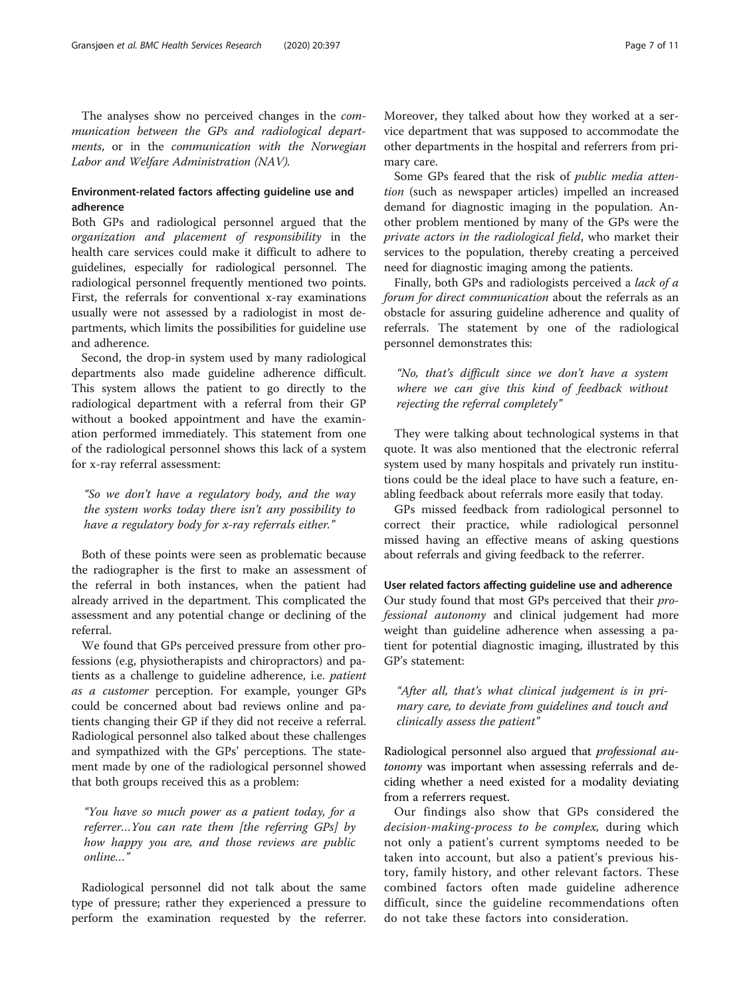The analyses show no perceived changes in the communication between the GPs and radiological departments, or in the communication with the Norwegian Labor and Welfare Administration (NAV).

## Environment-related factors affecting guideline use and adherence

Both GPs and radiological personnel argued that the organization and placement of responsibility in the health care services could make it difficult to adhere to guidelines, especially for radiological personnel. The radiological personnel frequently mentioned two points. First, the referrals for conventional x-ray examinations usually were not assessed by a radiologist in most departments, which limits the possibilities for guideline use and adherence.

Second, the drop-in system used by many radiological departments also made guideline adherence difficult. This system allows the patient to go directly to the radiological department with a referral from their GP without a booked appointment and have the examination performed immediately. This statement from one of the radiological personnel shows this lack of a system for x-ray referral assessment:

"So we don't have a regulatory body, and the way the system works today there isn't any possibility to have a regulatory body for x-ray referrals either."

Both of these points were seen as problematic because the radiographer is the first to make an assessment of the referral in both instances, when the patient had already arrived in the department. This complicated the assessment and any potential change or declining of the referral.

We found that GPs perceived pressure from other professions (e.g, physiotherapists and chiropractors) and patients as a challenge to guideline adherence, i.e. patient as a customer perception. For example, younger GPs could be concerned about bad reviews online and patients changing their GP if they did not receive a referral. Radiological personnel also talked about these challenges and sympathized with the GPs' perceptions. The statement made by one of the radiological personnel showed that both groups received this as a problem:

"You have so much power as a patient today, for a referrer…You can rate them [the referring GPs] by how happy you are, and those reviews are public online…"

Radiological personnel did not talk about the same type of pressure; rather they experienced a pressure to perform the examination requested by the referrer. Moreover, they talked about how they worked at a service department that was supposed to accommodate the other departments in the hospital and referrers from primary care.

Some GPs feared that the risk of public media attention (such as newspaper articles) impelled an increased demand for diagnostic imaging in the population. Another problem mentioned by many of the GPs were the private actors in the radiological field, who market their services to the population, thereby creating a perceived need for diagnostic imaging among the patients.

Finally, both GPs and radiologists perceived a lack of a forum for direct communication about the referrals as an obstacle for assuring guideline adherence and quality of referrals. The statement by one of the radiological personnel demonstrates this:

"No, that's difficult since we don't have a system where we can give this kind of feedback without rejecting the referral completely"

They were talking about technological systems in that quote. It was also mentioned that the electronic referral system used by many hospitals and privately run institutions could be the ideal place to have such a feature, enabling feedback about referrals more easily that today.

GPs missed feedback from radiological personnel to correct their practice, while radiological personnel missed having an effective means of asking questions about referrals and giving feedback to the referrer.

## User related factors affecting guideline use and adherence

Our study found that most GPs perceived that their professional autonomy and clinical judgement had more weight than guideline adherence when assessing a patient for potential diagnostic imaging, illustrated by this GP's statement:

"After all, that's what clinical judgement is in primary care, to deviate from guidelines and touch and clinically assess the patient"

Radiological personnel also argued that *professional au*tonomy was important when assessing referrals and deciding whether a need existed for a modality deviating from a referrers request.

Our findings also show that GPs considered the decision-making-process to be complex, during which not only a patient's current symptoms needed to be taken into account, but also a patient's previous history, family history, and other relevant factors. These combined factors often made guideline adherence difficult, since the guideline recommendations often do not take these factors into consideration.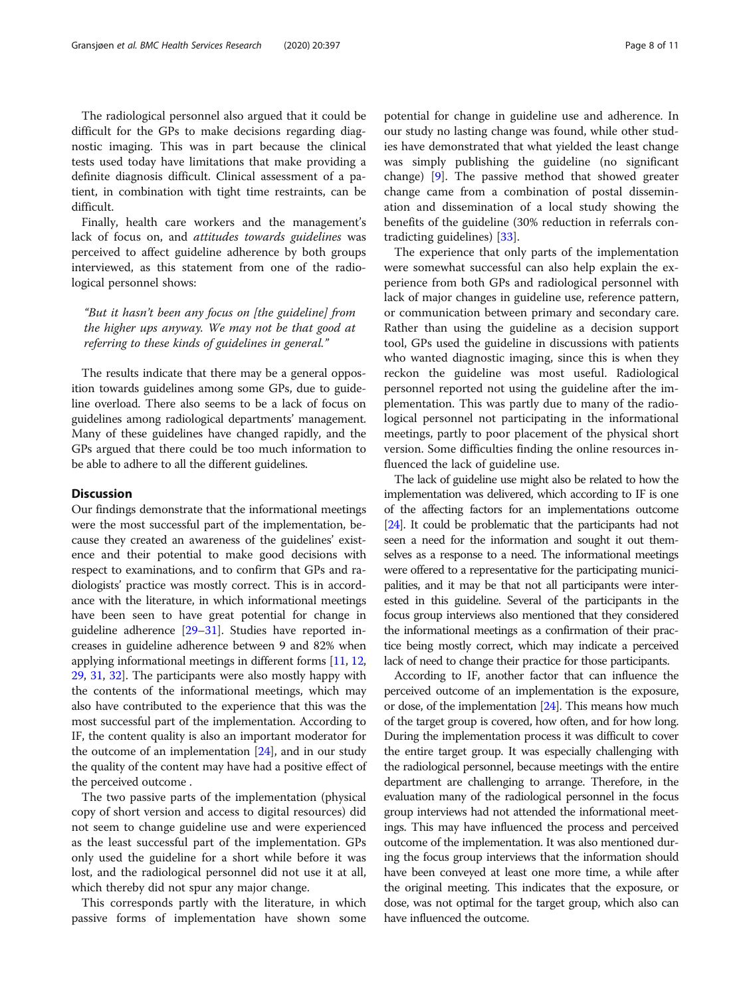The radiological personnel also argued that it could be difficult for the GPs to make decisions regarding diagnostic imaging. This was in part because the clinical tests used today have limitations that make providing a definite diagnosis difficult. Clinical assessment of a patient, in combination with tight time restraints, can be difficult.

Finally, health care workers and the management's lack of focus on, and attitudes towards guidelines was perceived to affect guideline adherence by both groups interviewed, as this statement from one of the radiological personnel shows:

"But it hasn't been any focus on [the guideline] from the higher ups anyway. We may not be that good at referring to these kinds of guidelines in general."

The results indicate that there may be a general opposition towards guidelines among some GPs, due to guideline overload. There also seems to be a lack of focus on guidelines among radiological departments' management. Many of these guidelines have changed rapidly, and the GPs argued that there could be too much information to be able to adhere to all the different guidelines.

### **Discussion**

Our findings demonstrate that the informational meetings were the most successful part of the implementation, because they created an awareness of the guidelines' existence and their potential to make good decisions with respect to examinations, and to confirm that GPs and radiologists' practice was mostly correct. This is in accordance with the literature, in which informational meetings have been seen to have great potential for change in guideline adherence [\[29](#page-10-0)–[31](#page-10-0)]. Studies have reported increases in guideline adherence between 9 and 82% when applying informational meetings in different forms [\[11](#page-10-0), [12](#page-10-0), [29](#page-10-0), [31](#page-10-0), [32](#page-10-0)]. The participants were also mostly happy with the contents of the informational meetings, which may also have contributed to the experience that this was the most successful part of the implementation. According to IF, the content quality is also an important moderator for the outcome of an implementation  $[24]$  $[24]$  $[24]$ , and in our study the quality of the content may have had a positive effect of the perceived outcome .

The two passive parts of the implementation (physical copy of short version and access to digital resources) did not seem to change guideline use and were experienced as the least successful part of the implementation. GPs only used the guideline for a short while before it was lost, and the radiological personnel did not use it at all, which thereby did not spur any major change.

This corresponds partly with the literature, in which passive forms of implementation have shown some potential for change in guideline use and adherence. In our study no lasting change was found, while other studies have demonstrated that what yielded the least change was simply publishing the guideline (no significant change) [\[9\]](#page-10-0). The passive method that showed greater change came from a combination of postal dissemination and dissemination of a local study showing the benefits of the guideline (30% reduction in referrals contradicting guidelines) [\[33\]](#page-10-0).

The experience that only parts of the implementation were somewhat successful can also help explain the experience from both GPs and radiological personnel with lack of major changes in guideline use, reference pattern, or communication between primary and secondary care. Rather than using the guideline as a decision support tool, GPs used the guideline in discussions with patients who wanted diagnostic imaging, since this is when they reckon the guideline was most useful. Radiological personnel reported not using the guideline after the implementation. This was partly due to many of the radiological personnel not participating in the informational meetings, partly to poor placement of the physical short version. Some difficulties finding the online resources influenced the lack of guideline use.

The lack of guideline use might also be related to how the implementation was delivered, which according to IF is one of the affecting factors for an implementations outcome [[24\]](#page-10-0). It could be problematic that the participants had not seen a need for the information and sought it out themselves as a response to a need. The informational meetings were offered to a representative for the participating municipalities, and it may be that not all participants were interested in this guideline. Several of the participants in the focus group interviews also mentioned that they considered the informational meetings as a confirmation of their practice being mostly correct, which may indicate a perceived lack of need to change their practice for those participants.

According to IF, another factor that can influence the perceived outcome of an implementation is the exposure, or dose, of the implementation [\[24\]](#page-10-0). This means how much of the target group is covered, how often, and for how long. During the implementation process it was difficult to cover the entire target group. It was especially challenging with the radiological personnel, because meetings with the entire department are challenging to arrange. Therefore, in the evaluation many of the radiological personnel in the focus group interviews had not attended the informational meetings. This may have influenced the process and perceived outcome of the implementation. It was also mentioned during the focus group interviews that the information should have been conveyed at least one more time, a while after the original meeting. This indicates that the exposure, or dose, was not optimal for the target group, which also can have influenced the outcome.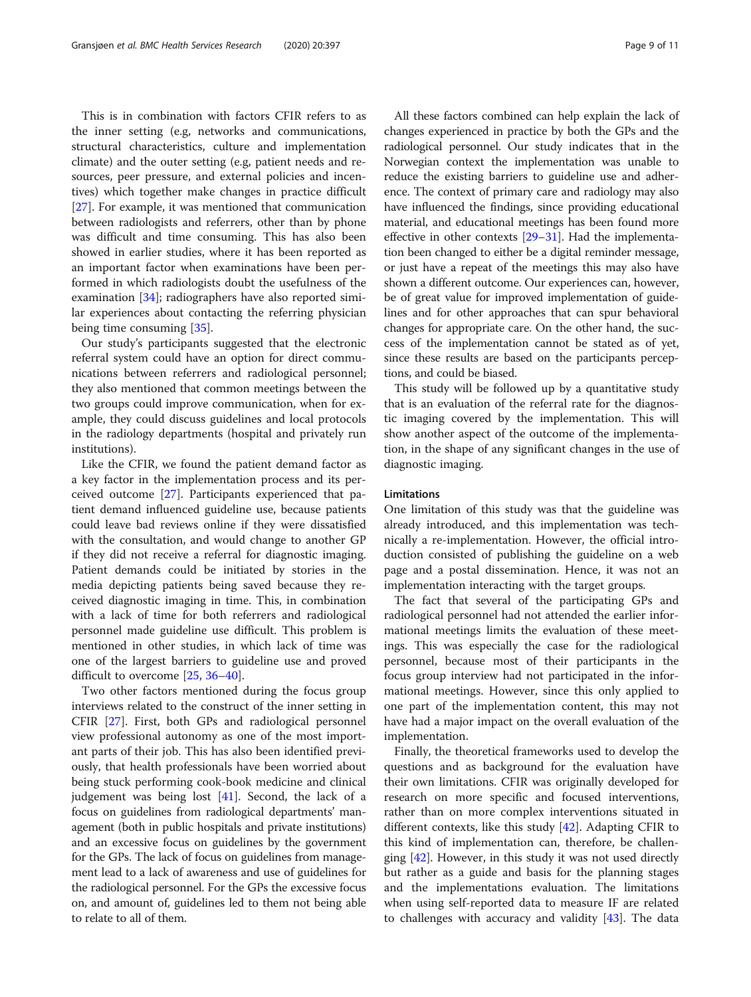This is in combination with factors CFIR refers to as the inner setting (e.g, networks and communications, structural characteristics, culture and implementation climate) and the outer setting (e.g, patient needs and resources, peer pressure, and external policies and incentives) which together make changes in practice difficult [[27\]](#page-10-0). For example, it was mentioned that communication between radiologists and referrers, other than by phone was difficult and time consuming. This has also been showed in earlier studies, where it has been reported as an important factor when examinations have been performed in which radiologists doubt the usefulness of the examination [\[34](#page-10-0)]; radiographers have also reported similar experiences about contacting the referring physician being time consuming [\[35\]](#page-10-0).

Our study's participants suggested that the electronic referral system could have an option for direct communications between referrers and radiological personnel; they also mentioned that common meetings between the two groups could improve communication, when for example, they could discuss guidelines and local protocols in the radiology departments (hospital and privately run institutions).

Like the CFIR, we found the patient demand factor as a key factor in the implementation process and its perceived outcome [\[27](#page-10-0)]. Participants experienced that patient demand influenced guideline use, because patients could leave bad reviews online if they were dissatisfied with the consultation, and would change to another GP if they did not receive a referral for diagnostic imaging. Patient demands could be initiated by stories in the media depicting patients being saved because they received diagnostic imaging in time. This, in combination with a lack of time for both referrers and radiological personnel made guideline use difficult. This problem is mentioned in other studies, in which lack of time was one of the largest barriers to guideline use and proved difficult to overcome [\[25](#page-10-0), [36](#page-10-0)–[40\]](#page-10-0).

Two other factors mentioned during the focus group interviews related to the construct of the inner setting in CFIR [\[27\]](#page-10-0). First, both GPs and radiological personnel view professional autonomy as one of the most important parts of their job. This has also been identified previously, that health professionals have been worried about being stuck performing cook-book medicine and clinical judgement was being lost [[41\]](#page-10-0). Second, the lack of a focus on guidelines from radiological departments' management (both in public hospitals and private institutions) and an excessive focus on guidelines by the government for the GPs. The lack of focus on guidelines from management lead to a lack of awareness and use of guidelines for the radiological personnel. For the GPs the excessive focus on, and amount of, guidelines led to them not being able to relate to all of them.

All these factors combined can help explain the lack of changes experienced in practice by both the GPs and the radiological personnel. Our study indicates that in the Norwegian context the implementation was unable to reduce the existing barriers to guideline use and adherence. The context of primary care and radiology may also have influenced the findings, since providing educational material, and educational meetings has been found more effective in other contexts [\[29](#page-10-0)–[31](#page-10-0)]. Had the implementation been changed to either be a digital reminder message, or just have a repeat of the meetings this may also have shown a different outcome. Our experiences can, however, be of great value for improved implementation of guidelines and for other approaches that can spur behavioral changes for appropriate care. On the other hand, the success of the implementation cannot be stated as of yet, since these results are based on the participants perceptions, and could be biased.

This study will be followed up by a quantitative study that is an evaluation of the referral rate for the diagnostic imaging covered by the implementation. This will show another aspect of the outcome of the implementation, in the shape of any significant changes in the use of diagnostic imaging.

#### Limitations

One limitation of this study was that the guideline was already introduced, and this implementation was technically a re-implementation. However, the official introduction consisted of publishing the guideline on a web page and a postal dissemination. Hence, it was not an implementation interacting with the target groups.

The fact that several of the participating GPs and radiological personnel had not attended the earlier informational meetings limits the evaluation of these meetings. This was especially the case for the radiological personnel, because most of their participants in the focus group interview had not participated in the informational meetings. However, since this only applied to one part of the implementation content, this may not have had a major impact on the overall evaluation of the implementation.

Finally, the theoretical frameworks used to develop the questions and as background for the evaluation have their own limitations. CFIR was originally developed for research on more specific and focused interventions, rather than on more complex interventions situated in different contexts, like this study  $[42]$  $[42]$  $[42]$ . Adapting CFIR to this kind of implementation can, therefore, be challenging [\[42](#page-10-0)]. However, in this study it was not used directly but rather as a guide and basis for the planning stages and the implementations evaluation. The limitations when using self-reported data to measure IF are related to challenges with accuracy and validity [\[43](#page-10-0)]. The data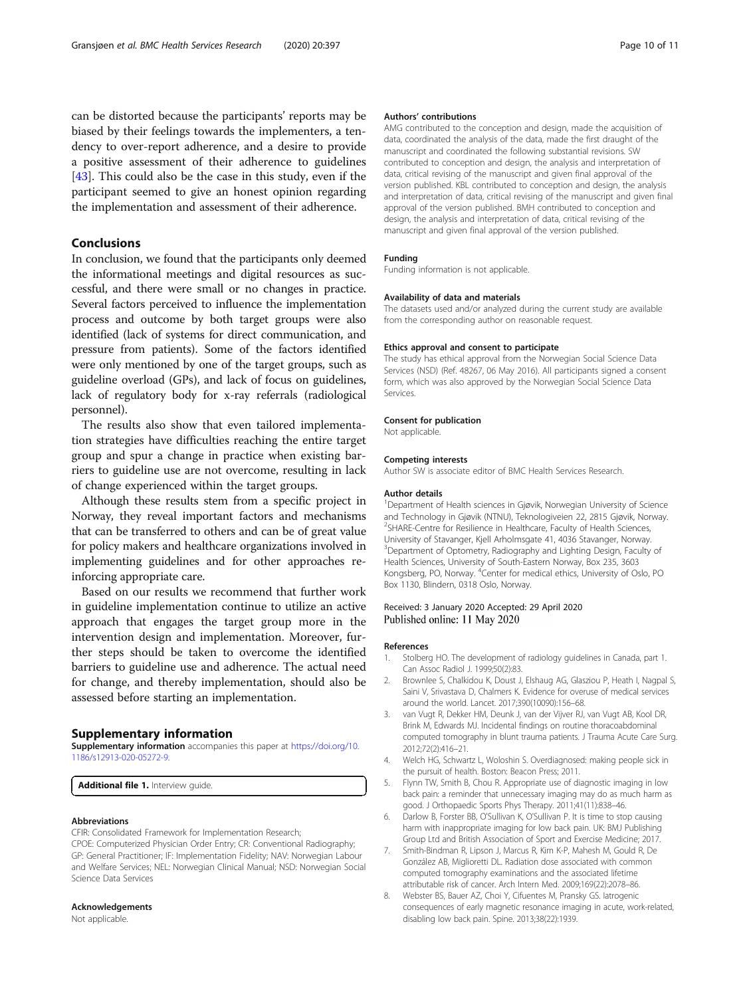<span id="page-9-0"></span>can be distorted because the participants' reports may be biased by their feelings towards the implementers, a tendency to over-report adherence, and a desire to provide a positive assessment of their adherence to guidelines [[43\]](#page-10-0). This could also be the case in this study, even if the participant seemed to give an honest opinion regarding the implementation and assessment of their adherence.

## Conclusions

In conclusion, we found that the participants only deemed the informational meetings and digital resources as successful, and there were small or no changes in practice. Several factors perceived to influence the implementation process and outcome by both target groups were also identified (lack of systems for direct communication, and pressure from patients). Some of the factors identified were only mentioned by one of the target groups, such as guideline overload (GPs), and lack of focus on guidelines, lack of regulatory body for x-ray referrals (radiological personnel).

The results also show that even tailored implementation strategies have difficulties reaching the entire target group and spur a change in practice when existing barriers to guideline use are not overcome, resulting in lack of change experienced within the target groups.

Although these results stem from a specific project in Norway, they reveal important factors and mechanisms that can be transferred to others and can be of great value for policy makers and healthcare organizations involved in implementing guidelines and for other approaches reinforcing appropriate care.

Based on our results we recommend that further work in guideline implementation continue to utilize an active approach that engages the target group more in the intervention design and implementation. Moreover, further steps should be taken to overcome the identified barriers to guideline use and adherence. The actual need for change, and thereby implementation, should also be assessed before starting an implementation.

### Supplementary information

Supplementary information accompanies this paper at [https://doi.org/10.](https://doi.org/10.1186/s12913-020-05272-9) [1186/s12913-020-05272-9](https://doi.org/10.1186/s12913-020-05272-9).

Additional file 1. Interview quide.

#### Abbreviations

CFIR: Consolidated Framework for Implementation Research; CPOE: Computerized Physician Order Entry; CR: Conventional Radiography; GP: General Practitioner; IF: Implementation Fidelity; NAV: Norwegian Labour and Welfare Services; NEL: Norwegian Clinical Manual; NSD: Norwegian Social Science Data Services

#### Acknowledgements

Not applicable.

#### Authors' contributions

AMG contributed to the conception and design, made the acquisition of data, coordinated the analysis of the data, made the first draught of the manuscript and coordinated the following substantial revisions. SW contributed to conception and design, the analysis and interpretation of data, critical revising of the manuscript and given final approval of the version published. KBL contributed to conception and design, the analysis and interpretation of data, critical revising of the manuscript and given final approval of the version published. BMH contributed to conception and design, the analysis and interpretation of data, critical revising of the manuscript and given final approval of the version published.

#### Funding

Funding information is not applicable.

### Availability of data and materials

The datasets used and/or analyzed during the current study are available from the corresponding author on reasonable request.

#### Ethics approval and consent to participate

The study has ethical approval from the Norwegian Social Science Data Services (NSD) (Ref. 48267, 06 May 2016). All participants signed a consent form, which was also approved by the Norwegian Social Science Data Services.

#### Consent for publication

Not applicable.

#### Competing interests

Author SW is associate editor of BMC Health Services Research.

#### Author details

<sup>1</sup>Department of Health sciences in Gjøvik, Norwegian University of Science and Technology in Gjøvik (NTNU), Teknologiveien 22, 2815 Gjøvik, Norway. <sup>2</sup>SHARE-Centre for Resilience in Healthcare, Faculty of Health Sciences, University of Stavanger, Kjell Arholmsgate 41, 4036 Stavanger, Norway. <sup>3</sup>Department of Optometry, Radiography and Lighting Design, Faculty of Health Sciences, University of South-Eastern Norway, Box 235, 3603 Kongsberg, PO, Norway. <sup>4</sup>Center for medical ethics, University of Oslo, PC Box 1130, Blindern, 0318 Oslo, Norway.

#### Received: 3 January 2020 Accepted: 29 April 2020 Published online: 11 May 2020

#### References

- 1. Stolberg HO. The development of radiology guidelines in Canada, part 1. Can Assoc Radiol J. 1999;50(2):83.
- 2. Brownlee S, Chalkidou K, Doust J, Elshaug AG, Glasziou P, Heath I, Nagpal S, Saini V, Srivastava D, Chalmers K. Evidence for overuse of medical services around the world. Lancet. 2017;390(10090):156–68.
- 3. van Vugt R, Dekker HM, Deunk J, van der Vijver RJ, van Vugt AB, Kool DR, Brink M, Edwards MJ. Incidental findings on routine thoracoabdominal computed tomography in blunt trauma patients. J Trauma Acute Care Surg. 2012;72(2):416–21.
- 4. Welch HG, Schwartz L, Woloshin S. Overdiagnosed: making people sick in the pursuit of health. Boston: Beacon Press; 2011.
- 5. Flynn TW, Smith B, Chou R. Appropriate use of diagnostic imaging in low back pain: a reminder that unnecessary imaging may do as much harm as good. J Orthopaedic Sports Phys Therapy. 2011;41(11):838–46.
- Darlow B, Forster BB, O'Sullivan K, O'Sullivan P. It is time to stop causing harm with inappropriate imaging for low back pain. UK: BMJ Publishing Group Ltd and British Association of Sport and Exercise Medicine; 2017.
- 7. Smith-Bindman R, Lipson J, Marcus R, Kim K-P, Mahesh M, Gould R, De González AB, Miglioretti DL. Radiation dose associated with common computed tomography examinations and the associated lifetime attributable risk of cancer. Arch Intern Med. 2009;169(22):2078–86.
- 8. Webster BS, Bauer AZ, Choi Y, Cifuentes M, Pransky GS. Iatrogenic consequences of early magnetic resonance imaging in acute, work-related, disabling low back pain. Spine. 2013;38(22):1939.